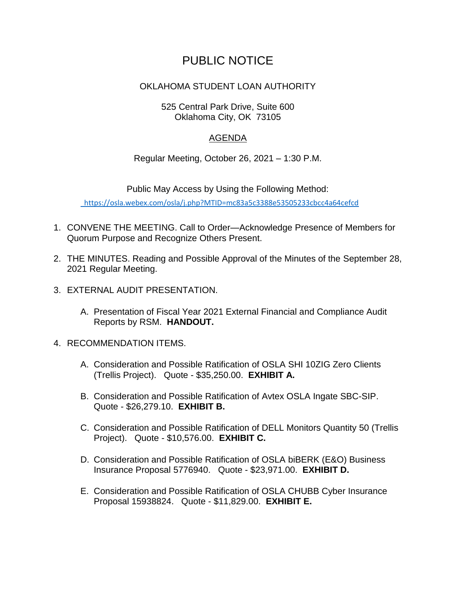## PUBLIC NOTICE

## OKLAHOMA STUDENT LOAN AUTHORITY

## 525 Central Park Drive, Suite 600 Oklahoma City, OK 73105

## AGENDA

Regular Meeting, October 26, 2021 – 1:30 P.M.

Public May Access by Using the Following Method:

<https://osla.webex.com/osla/j.php?MTID=mc83a5c3388e53505233cbcc4a64cefcd>

- 1. CONVENE THE MEETING. Call to Order—Acknowledge Presence of Members for Quorum Purpose and Recognize Others Present.
- 2. THE MINUTES. Reading and Possible Approval of the Minutes of the September 28, 2021 Regular Meeting.
- 3. EXTERNAL AUDIT PRESENTATION.
	- A. Presentation of Fiscal Year 2021 External Financial and Compliance Audit Reports by RSM. **HANDOUT.**
- 4. RECOMMENDATION ITEMS.
	- A. Consideration and Possible Ratification of OSLA SHI 10ZIG Zero Clients (Trellis Project). Quote - \$35,250.00. **EXHIBIT A.**
	- B. Consideration and Possible Ratification of Avtex OSLA Ingate SBC-SIP. Quote - \$26,279.10. **EXHIBIT B.**
	- C. Consideration and Possible Ratification of DELL Monitors Quantity 50 (Trellis Project). Quote - \$10,576.00. **EXHIBIT C.**
	- D. Consideration and Possible Ratification of OSLA biBERK (E&O) Business Insurance Proposal 5776940. Quote - \$23,971.00. **EXHIBIT D.**
	- E. Consideration and Possible Ratification of OSLA CHUBB Cyber Insurance Proposal 15938824. Quote - \$11,829.00. **EXHIBIT E.**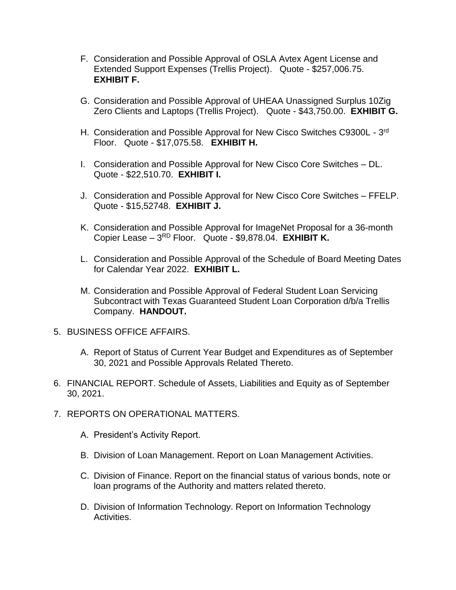- F. Consideration and Possible Approval of OSLA Avtex Agent License and Extended Support Expenses (Trellis Project). Quote - \$257,006.75. **EXHIBIT F.**
- G. Consideration and Possible Approval of UHEAA Unassigned Surplus 10Zig Zero Clients and Laptops (Trellis Project). Quote - \$43,750.00. **EXHIBIT G.**
- H. Consideration and Possible Approval for New Cisco Switches C9300L 3<sup>rd</sup> Floor. Quote - \$17,075.58. **EXHIBIT H.**
- I. Consideration and Possible Approval for New Cisco Core Switches DL. Quote - \$22,510.70. **EXHIBIT I.**
- J. Consideration and Possible Approval for New Cisco Core Switches FFELP. Quote - \$15,52748. **EXHIBIT J.**
- K. Consideration and Possible Approval for ImageNet Proposal for a 36-month Copier Lease - 3<sup>RD</sup> Floor. Quote - \$9,878.04. **EXHIBIT K.**
- L. Consideration and Possible Approval of the Schedule of Board Meeting Dates for Calendar Year 2022. **EXHIBIT L.**
- M. Consideration and Possible Approval of Federal Student Loan Servicing Subcontract with Texas Guaranteed Student Loan Corporation d/b/a Trellis Company. **HANDOUT.**
- 5. BUSINESS OFFICE AFFAIRS.
	- A. Report of Status of Current Year Budget and Expenditures as of September 30, 2021 and Possible Approvals Related Thereto.
- 6. FINANCIAL REPORT. Schedule of Assets, Liabilities and Equity as of September 30, 2021.
- 7. REPORTS ON OPERATIONAL MATTERS.
	- A. President's Activity Report.
	- B. Division of Loan Management. Report on Loan Management Activities.
	- C. Division of Finance. Report on the financial status of various bonds, note or loan programs of the Authority and matters related thereto.
	- D. Division of Information Technology. Report on Information Technology Activities.